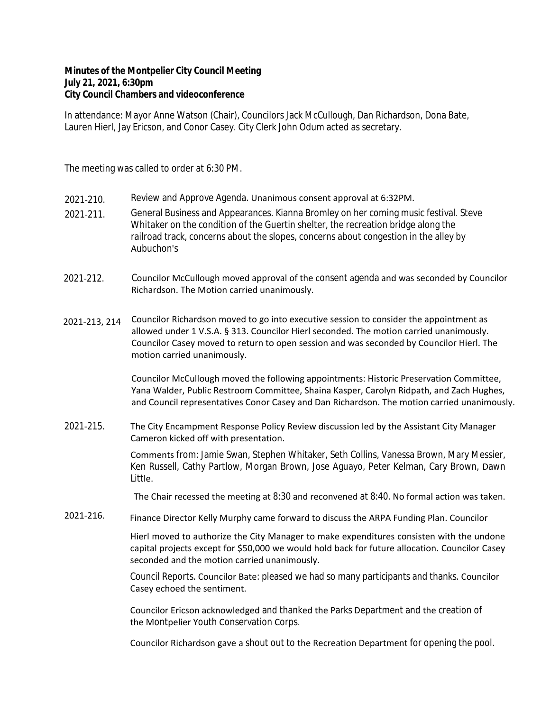## **Minutes of the Montpelier City Council Meeting July 21, 2021, 6:30pm City Council Chambers and videoconference**

In attendance: Mayor Anne Watson (Chair), Councilors Jack McCullough, Dan Richardson, Dona Bate, Lauren Hierl, Jay Ericson, and Conor Casey. City Clerk John Odum acted as secretary.

The meeting was called to order at 6:30 PM.

- 2021‐210. Review and Approve Agenda. Unanimous consent approval at 6:32PM.
- 2021‐211. General Business and Appearances. Kianna Bromley on her coming music festival. Steve Whitaker on the condition of the Guertin shelter, the recreation bridge along the railroad track, concerns about the slopes, concerns about congestion in the alley by Aubuchon's
- 2021‐212. Councilor McCullough moved approval of the consent agenda and was seconded by Councilor Richardson. The Motion carried unanimously.
- Councilor Richardson moved to go into executive session to consider the appointment as allowed under 1 V.S.A. § 313. Councilor Hierl seconded. The motion carried unanimously. Councilor Casey moved to return to open session and was seconded by Councilor Hierl. The motion carried unanimously. 2021-213, 214

Councilor McCullough moved the following appointments: Historic Preservation Committee, Yana Walder, Public Restroom Committee, Shaina Kasper, Carolyn Ridpath, and Zach Hughes, and Council representatives Conor Casey and Dan Richardson. The motion carried unanimously.

2021-215. The City Encampment Response Policy Review discussion led by the Assistant City Manager Cameron kicked off with presentation.

> Comments from: Jamie Swan, Stephen Whitaker, Seth Collins, Vanessa Brown, Mary Messier, Ken Russell, Cathy Partlow, Morgan Brown, Jose Aguayo, Peter Kelman, Cary Brown, Dawn Little.

> The Chair recessed the meeting at 8:30 and reconvened at 8:40. No formal action was taken.

2021-216. Finance Director Kelly Murphy came forward to discuss the ARPA Funding Plan. Councilor

Hierl moved to authorize the City Manager to make expenditures consisten with the undone capital projects except for \$50,000 we would hold back for future allocation. Councilor Casey seconded and the motion carried unanimously.

Council Reports. Councilor Bate: pleased we had so many participants and thanks. Councilor Casey echoed the sentiment.

Councilor Ericson acknowledged and thanked the Parks Department and the creation of the Montpelier Youth Conservation Corps.

Councilor Richardson gave a shout out to the Recreation Department for opening the pool.